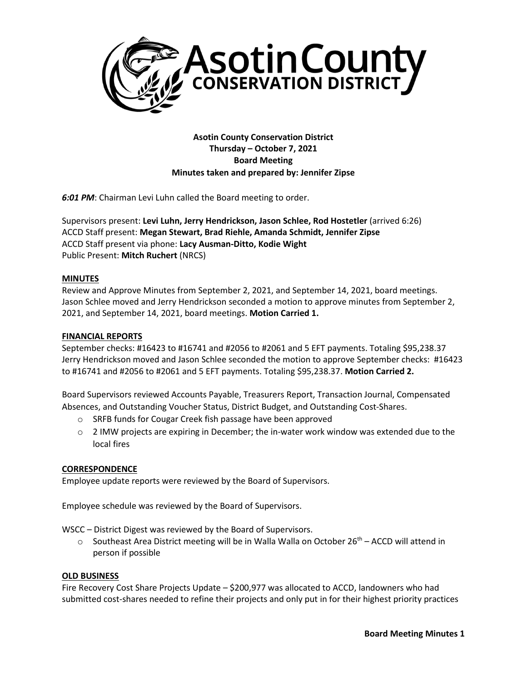

**Asotin County Conservation District Thursday – October 7, 2021 Board Meeting Minutes taken and prepared by: Jennifer Zipse**

*6:01 PM*: Chairman Levi Luhn called the Board meeting to order.

Supervisors present: **Levi Luhn, Jerry Hendrickson, Jason Schlee, Rod Hostetler** (arrived 6:26) ACCD Staff present: **Megan Stewart, Brad Riehle, Amanda Schmidt, Jennifer Zipse** ACCD Staff present via phone: **Lacy Ausman-Ditto, Kodie Wight** Public Present: **Mitch Ruchert** (NRCS)

# **MINUTES**

Review and Approve Minutes from September 2, 2021, and September 14, 2021, board meetings. Jason Schlee moved and Jerry Hendrickson seconded a motion to approve minutes from September 2, 2021, and September 14, 2021, board meetings. **Motion Carried 1.**

## **FINANCIAL REPORTS**

September checks: #16423 to #16741 and #2056 to #2061 and 5 EFT payments. Totaling \$95,238.37 Jerry Hendrickson moved and Jason Schlee seconded the motion to approve September checks: #16423 to #16741 and #2056 to #2061 and 5 EFT payments. Totaling \$95,238.37. **Motion Carried 2.**

Board Supervisors reviewed Accounts Payable, Treasurers Report, Transaction Journal, Compensated Absences, and Outstanding Voucher Status, District Budget, and Outstanding Cost-Shares.

- o SRFB funds for Cougar Creek fish passage have been approved
- $\circ$  2 IMW projects are expiring in December; the in-water work window was extended due to the local fires

# **CORRESPONDENCE**

Employee update reports were reviewed by the Board of Supervisors.

Employee schedule was reviewed by the Board of Supervisors.

WSCC – District Digest was reviewed by the Board of Supervisors.

 $\circ$  Southeast Area District meeting will be in Walla Walla on October 26<sup>th</sup> – ACCD will attend in person if possible

#### **OLD BUSINESS**

Fire Recovery Cost Share Projects Update – \$200,977 was allocated to ACCD, landowners who had submitted cost-shares needed to refine their projects and only put in for their highest priority practices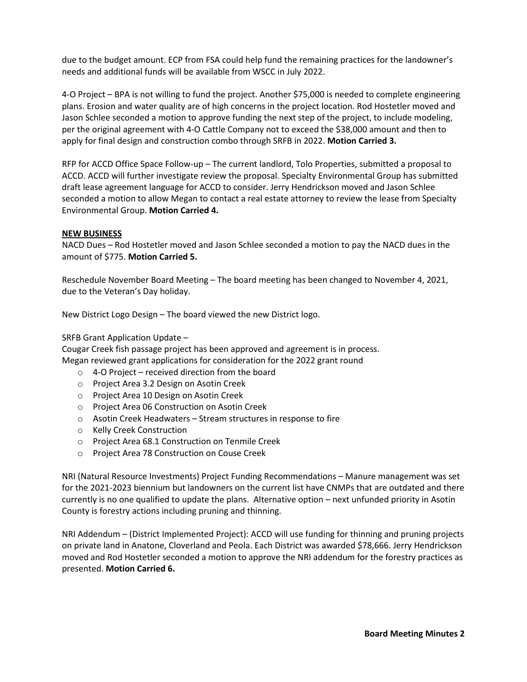due to the budget amount. ECP from FSA could help fund the remaining practices for the landowner's needs and additional funds will be available from WSCC in July 2022.

4-O Project – BPA is not willing to fund the project. Another \$75,000 is needed to complete engineering plans. Erosion and water quality are of high concerns in the project location. Rod Hostetler moved and Jason Schlee seconded a motion to approve funding the next step of the project, to include modeling, per the original agreement with 4-O Cattle Company not to exceed the \$38,000 amount and then to apply for final design and construction combo through SRFB in 2022. **Motion Carried 3.**

RFP for ACCD Office Space Follow-up – The current landlord, Tolo Properties, submitted a proposal to ACCD. ACCD will further investigate review the proposal. Specialty Environmental Group has submitted draft lease agreement language for ACCD to consider. Jerry Hendrickson moved and Jason Schlee seconded a motion to allow Megan to contact a real estate attorney to review the lease from Specialty Environmental Group. **Motion Carried 4.**

## **NEW BUSINESS**

NACD Dues – Rod Hostetler moved and Jason Schlee seconded a motion to pay the NACD dues in the amount of \$775. **Motion Carried 5.**

Reschedule November Board Meeting – The board meeting has been changed to November 4, 2021, due to the Veteran's Day holiday.

New District Logo Design – The board viewed the new District logo.

SRFB Grant Application Update –

Cougar Creek fish passage project has been approved and agreement is in process. Megan reviewed grant applications for consideration for the 2022 grant round

- $\circ$  4-O Project received direction from the board
- o Project Area 3.2 Design on Asotin Creek
- o Project Area 10 Design on Asotin Creek
- o Project Area 06 Construction on Asotin Creek
- o Asotin Creek Headwaters Stream structures in response to fire
- o Kelly Creek Construction
- o Project Area 68.1 Construction on Tenmile Creek
- o Project Area 78 Construction on Couse Creek

NRI (Natural Resource Investments) Project Funding Recommendations – Manure management was set for the 2021-2023 biennium but landowners on the current list have CNMPs that are outdated and there currently is no one qualified to update the plans. Alternative option – next unfunded priority in Asotin County is forestry actions including pruning and thinning.

NRI Addendum – (District Implemented Project): ACCD will use funding for thinning and pruning projects on private land in Anatone, Cloverland and Peola. Each District was awarded \$78,666. Jerry Hendrickson moved and Rod Hostetler seconded a motion to approve the NRI addendum for the forestry practices as presented. **Motion Carried 6.**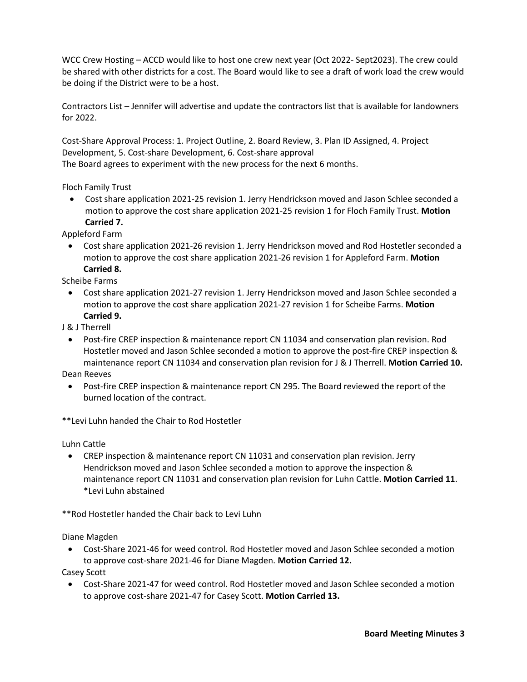WCC Crew Hosting – ACCD would like to host one crew next year (Oct 2022- Sept2023). The crew could be shared with other districts for a cost. The Board would like to see a draft of work load the crew would be doing if the District were to be a host.

Contractors List – Jennifer will advertise and update the contractors list that is available for landowners for 2022.

Cost-Share Approval Process: 1. Project Outline, 2. Board Review, 3. Plan ID Assigned, 4. Project Development, 5. Cost-share Development, 6. Cost-share approval The Board agrees to experiment with the new process for the next 6 months.

Floch Family Trust

• Cost share application 2021-25 revision 1. Jerry Hendrickson moved and Jason Schlee seconded a motion to approve the cost share application 2021-25 revision 1 for Floch Family Trust. **Motion Carried 7.**

Appleford Farm

• Cost share application 2021-26 revision 1. Jerry Hendrickson moved and Rod Hostetler seconded a motion to approve the cost share application 2021-26 revision 1 for Appleford Farm. **Motion Carried 8.**

Scheibe Farms

- Cost share application 2021-27 revision 1. Jerry Hendrickson moved and Jason Schlee seconded a motion to approve the cost share application 2021-27 revision 1 for Scheibe Farms. **Motion Carried 9.**
- J & J Therrell
	- Post-fire CREP inspection & maintenance report CN 11034 and conservation plan revision. Rod Hostetler moved and Jason Schlee seconded a motion to approve the post-fire CREP inspection & maintenance report CN 11034 and conservation plan revision for J & J Therrell. **Motion Carried 10.**

Dean Reeves

• Post-fire CREP inspection & maintenance report CN 295. The Board reviewed the report of the burned location of the contract.

\*\*Levi Luhn handed the Chair to Rod Hostetler

Luhn Cattle

• CREP inspection & maintenance report CN 11031 and conservation plan revision. Jerry Hendrickson moved and Jason Schlee seconded a motion to approve the inspection & maintenance report CN 11031 and conservation plan revision for Luhn Cattle. **Motion Carried 11**. \*Levi Luhn abstained

\*\*Rod Hostetler handed the Chair back to Levi Luhn

Diane Magden

• Cost-Share 2021-46 for weed control. Rod Hostetler moved and Jason Schlee seconded a motion to approve cost-share 2021-46 for Diane Magden. **Motion Carried 12.**

Casey Scott

• Cost-Share 2021-47 for weed control. Rod Hostetler moved and Jason Schlee seconded a motion to approve cost-share 2021-47 for Casey Scott. **Motion Carried 13.**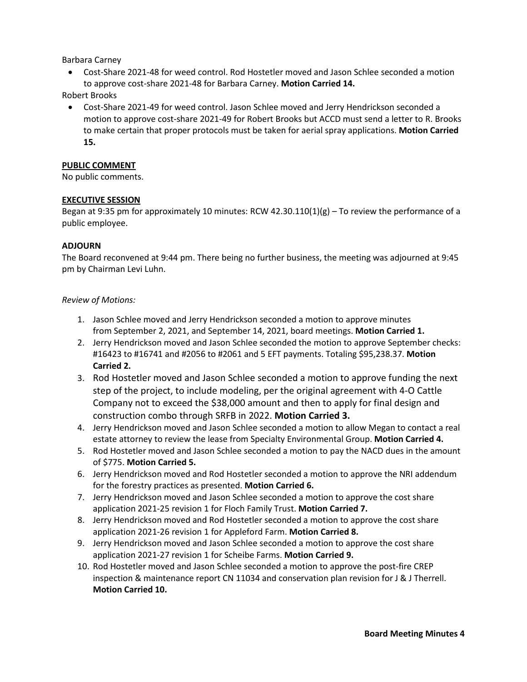Barbara Carney

• Cost-Share 2021-48 for weed control. Rod Hostetler moved and Jason Schlee seconded a motion to approve cost-share 2021-48 for Barbara Carney. **Motion Carried 14.**

Robert Brooks

• Cost-Share 2021-49 for weed control. Jason Schlee moved and Jerry Hendrickson seconded a motion to approve cost-share 2021-49 for Robert Brooks but ACCD must send a letter to R. Brooks to make certain that proper protocols must be taken for aerial spray applications. **Motion Carried 15.**

#### **PUBLIC COMMENT**

No public comments.

## **EXECUTIVE SESSION**

Began at 9:35 pm for approximately 10 minutes: RCW 42.30.110(1)(g) – To review the performance of a public employee.

## **ADJOURN**

The Board reconvened at 9:44 pm. There being no further business, the meeting was adjourned at 9:45 pm by Chairman Levi Luhn.

## *Review of Motions:*

- 1. Jason Schlee moved and Jerry Hendrickson seconded a motion to approve minutes from September 2, 2021, and September 14, 2021, board meetings. **Motion Carried 1.**
- 2. Jerry Hendrickson moved and Jason Schlee seconded the motion to approve September checks: #16423 to #16741 and #2056 to #2061 and 5 EFT payments. Totaling \$95,238.37. **Motion Carried 2.**
- 3. Rod Hostetler moved and Jason Schlee seconded a motion to approve funding the next step of the project, to include modeling, per the original agreement with 4-O Cattle Company not to exceed the \$38,000 amount and then to apply for final design and construction combo through SRFB in 2022. **Motion Carried 3.**
- 4. Jerry Hendrickson moved and Jason Schlee seconded a motion to allow Megan to contact a real estate attorney to review the lease from Specialty Environmental Group. **Motion Carried 4.**
- 5. Rod Hostetler moved and Jason Schlee seconded a motion to pay the NACD dues in the amount of \$775. **Motion Carried 5.**
- 6. Jerry Hendrickson moved and Rod Hostetler seconded a motion to approve the NRI addendum for the forestry practices as presented. **Motion Carried 6.**
- 7. Jerry Hendrickson moved and Jason Schlee seconded a motion to approve the cost share application 2021-25 revision 1 for Floch Family Trust. **Motion Carried 7.**
- 8. Jerry Hendrickson moved and Rod Hostetler seconded a motion to approve the cost share application 2021-26 revision 1 for Appleford Farm. **Motion Carried 8.**
- 9. Jerry Hendrickson moved and Jason Schlee seconded a motion to approve the cost share application 2021-27 revision 1 for Scheibe Farms. **Motion Carried 9.**
- 10. Rod Hostetler moved and Jason Schlee seconded a motion to approve the post-fire CREP inspection & maintenance report CN 11034 and conservation plan revision for J & J Therrell. **Motion Carried 10.**